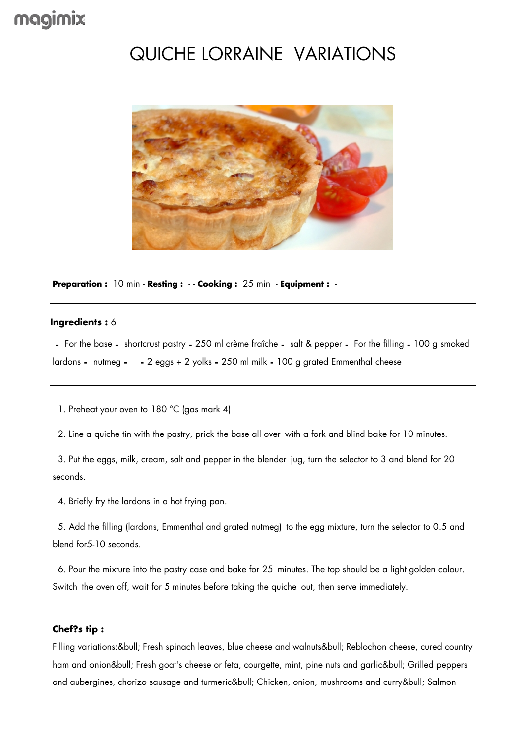## magimix

## QUICHE LORRAINE VARIATIONS



**Preparation :** 10 min - **Resting :** - - **Cooking :** 25 min - **Equipment :** -

## **Ingredients :** 6

 **-** For the base **-** shortcrust pastry **-** 250 ml crème fraîche **-** salt & pepper **-** For the filling **-** 100 g smoked lardons **-** nutmeg **- -** 2 eggs + 2 yolks **-** 250 ml milk **-** 100 g grated Emmenthal cheese

1. Preheat your oven to 180 °C (gas mark 4)

2. Line a quiche tin with the pastry, prick the base all over with a fork and blind bake for 10 minutes.

 3. Put the eggs, milk, cream, salt and pepper in the blender jug, turn the selector to 3 and blend for 20 seconds.

4. Briefly fry the lardons in a hot frying pan.

 5. Add the filling (lardons, Emmenthal and grated nutmeg) to the egg mixture, turn the selector to 0.5 and blend for5-10 seconds.

 6. Pour the mixture into the pastry case and bake for 25 minutes. The top should be a light golden colour. Switch the oven off, wait for 5 minutes before taking the quiche out, then serve immediately.

## **Chef?s tip :**

Filling variations:• Fresh spinach leaves, blue cheese and walnuts• Reblochon cheese, cured country ham and onion• Fresh goat's cheese or feta, courgette, mint, pine nuts and garlic• Grilled peppers and aubergines, chorizo sausage and turmeric• Chicken, onion, mushrooms and curry• Salmon